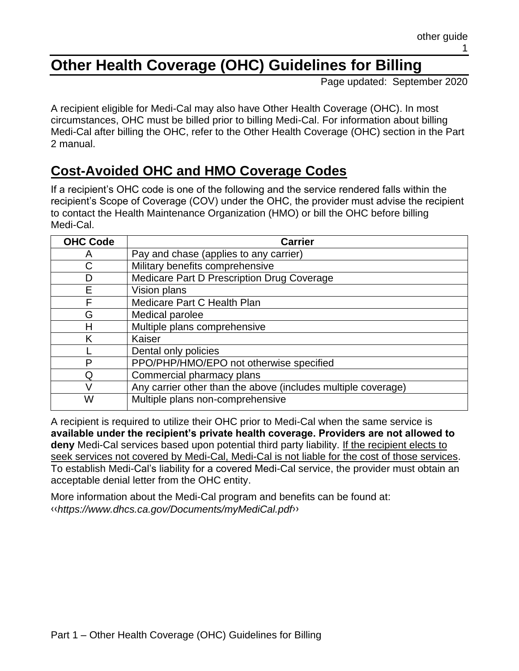# **Other Health Coverage (OHC) Guidelines for Billing**

Page updated: September 2020

A recipient eligible for Medi-Cal may also have Other Health Coverage (OHC). In most circumstances, OHC must be billed prior to billing Medi-Cal. For information about billing Medi-Cal after billing the OHC, refer to the Other Health Coverage (OHC) section in the Part 2 manual.

#### **Cost-Avoided OHC and HMO Coverage Codes**

If a recipient's OHC code is one of the following and the service rendered falls within the recipient's Scope of Coverage (COV) under the OHC, the provider must advise the recipient to contact the Health Maintenance Organization (HMO) or bill the OHC before billing Medi-Cal.

| <b>OHC Code</b> | <b>Carrier</b>                                                |
|-----------------|---------------------------------------------------------------|
| A               | Pay and chase (applies to any carrier)                        |
| С               | Military benefits comprehensive                               |
| D               | Medicare Part D Prescription Drug Coverage                    |
| E               | Vision plans                                                  |
| F               | Medicare Part C Health Plan                                   |
| G               | Medical parolee                                               |
| Н               | Multiple plans comprehensive                                  |
| K               | Kaiser                                                        |
|                 | Dental only policies                                          |
| P               | PPO/PHP/HMO/EPO not otherwise specified                       |
| Q               | Commercial pharmacy plans                                     |
| V               | Any carrier other than the above (includes multiple coverage) |
| W               | Multiple plans non-comprehensive                              |

A recipient is required to utilize their OHC prior to Medi-Cal when the same service is **available under the recipient's private health coverage. Providers are not allowed to deny** Medi-Cal services based upon potential third party liability. If the recipient elects to seek services not covered by Medi-Cal, Medi-Cal is not liable for the cost of those services. To establish Medi-Cal's liability for a covered Medi-Cal service, the provider must obtain an acceptable denial letter from the OHC entity.

More information about the Medi-Cal program and benefits can be found at: [‹‹](#page-8-0)*https://www.dhcs.ca.gov/Documents/myMediCal.pdf*[››](#page-8-1)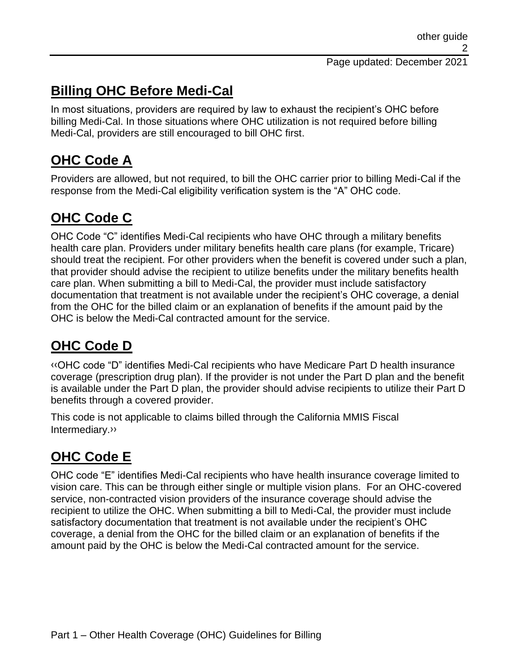## **Billing OHC Before Medi-Cal**

In most situations, providers are required by law to exhaust the recipient's OHC before billing Medi-Cal. In those situations where OHC utilization is not required before billing Medi-Cal, providers are still encouraged to bill OHC first.

# **OHC Code A**

Providers are allowed, but not required, to bill the OHC carrier prior to billing Medi-Cal if the response from the Medi-Cal eligibility verification system is the "A" OHC code.

## **OHC Code C**

OHC Code "C" identifies Medi-Cal recipients who have OHC through a military benefits health care plan. Providers under military benefits health care plans (for example, Tricare) should treat the recipient. For other providers when the benefit is covered under such a plan, that provider should advise the recipient to utilize benefits under the military benefits health care plan. When submitting a bill to Medi-Cal, the provider must include satisfactory documentation that treatment is not available under the recipient's OHC coverage, a denial from the OHC for the billed claim or an explanation of benefits if the amount paid by the OHC is below the Medi-Cal contracted amount for the service.

# **OHC Code D**

[‹‹O](#page-8-0)HC code "D" identifies Medi-Cal recipients who have Medicare Part D health insurance coverage (prescription drug plan). If the provider is not under the Part D plan and the benefit is available under the Part D plan, the provider should advise recipients to utilize their Part D benefits through a covered provider.

This code is not applicable to claims billed through the California MMIS Fiscal Intermediary[.››](#page-8-1)

# **OHC Code E**

OHC code "E" identifies Medi-Cal recipients who have health insurance coverage limited to vision care. This can be through either single or multiple vision plans. For an OHC-covered service, non-contracted vision providers of the insurance coverage should advise the recipient to utilize the OHC. When submitting a bill to Medi-Cal, the provider must include satisfactory documentation that treatment is not available under the recipient's OHC coverage, a denial from the OHC for the billed claim or an explanation of benefits if the amount paid by the OHC is below the Medi-Cal contracted amount for the service.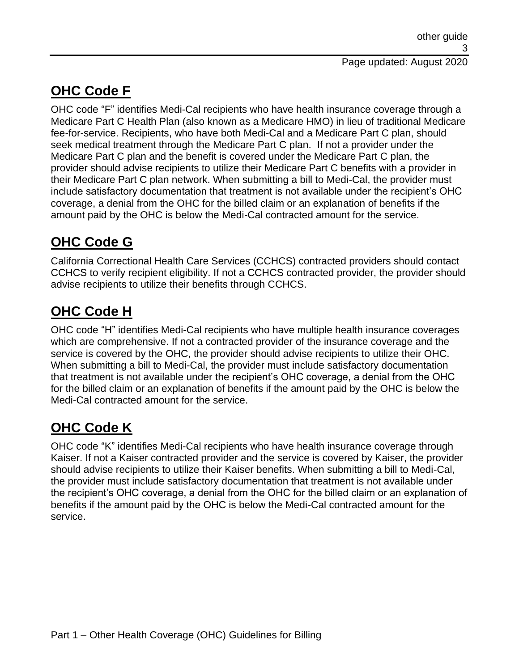## **OHC Code F**

OHC code "F" identifies Medi-Cal recipients who have health insurance coverage through a Medicare Part C Health Plan (also known as a Medicare HMO) in lieu of traditional Medicare fee-for-service. Recipients, who have both Medi-Cal and a Medicare Part C plan, should seek medical treatment through the Medicare Part C plan. If not a provider under the Medicare Part C plan and the benefit is covered under the Medicare Part C plan, the provider should advise recipients to utilize their Medicare Part C benefits with a provider in their Medicare Part C plan network. When submitting a bill to Medi-Cal, the provider must include satisfactory documentation that treatment is not available under the recipient's OHC coverage, a denial from the OHC for the billed claim or an explanation of benefits if the amount paid by the OHC is below the Medi-Cal contracted amount for the service.

# **OHC Code G**

California Correctional Health Care Services (CCHCS) contracted providers should contact CCHCS to verify recipient eligibility. If not a CCHCS contracted provider, the provider should advise recipients to utilize their benefits through CCHCS.

# **OHC Code H**

OHC code "H" identifies Medi-Cal recipients who have multiple health insurance coverages which are comprehensive. If not a contracted provider of the insurance coverage and the service is covered by the OHC, the provider should advise recipients to utilize their OHC. When submitting a bill to Medi-Cal, the provider must include satisfactory documentation that treatment is not available under the recipient's OHC coverage, a denial from the OHC for the billed claim or an explanation of benefits if the amount paid by the OHC is below the Medi-Cal contracted amount for the service.

# **OHC Code K**

OHC code "K" identifies Medi-Cal recipients who have health insurance coverage through Kaiser. If not a Kaiser contracted provider and the service is covered by Kaiser, the provider should advise recipients to utilize their Kaiser benefits. When submitting a bill to Medi-Cal, the provider must include satisfactory documentation that treatment is not available under the recipient's OHC coverage, a denial from the OHC for the billed claim or an explanation of benefits if the amount paid by the OHC is below the Medi-Cal contracted amount for the service.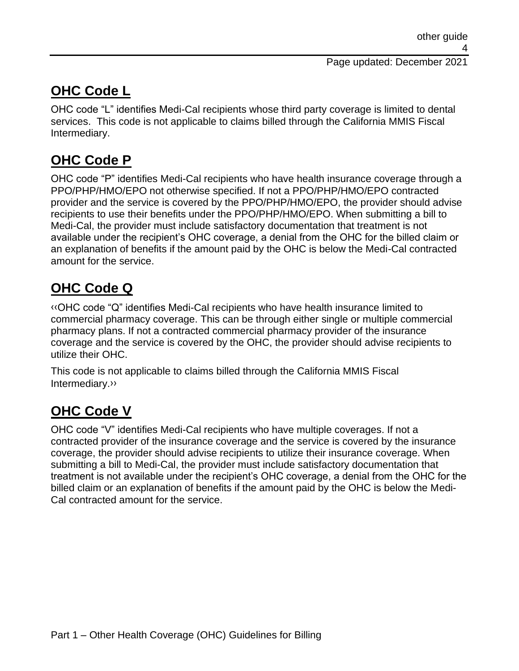#### Page updated: December 2021

## **OHC Code L**

OHC code "L" identifies Medi-Cal recipients whose third party coverage is limited to dental services. This code is not applicable to claims billed through the California MMIS Fiscal Intermediary.

# **OHC Code P**

OHC code "P" identifies Medi-Cal recipients who have health insurance coverage through a PPO/PHP/HMO/EPO not otherwise specified. If not a PPO/PHP/HMO/EPO contracted provider and the service is covered by the PPO/PHP/HMO/EPO, the provider should advise recipients to use their benefits under the PPO/PHP/HMO/EPO. When submitting a bill to Medi-Cal, the provider must include satisfactory documentation that treatment is not available under the recipient's OHC coverage, a denial from the OHC for the billed claim or an explanation of benefits if the amount paid by the OHC is below the Medi-Cal contracted amount for the service.

## **OHC Code Q**

[‹‹O](#page-8-0)HC code "Q" identifies Medi-Cal recipients who have health insurance limited to commercial pharmacy coverage. This can be through either single or multiple commercial pharmacy plans. If not a contracted commercial pharmacy provider of the insurance coverage and the service is covered by the OHC, the provider should advise recipients to utilize their OHC.

This code is not applicable to claims billed through the California MMIS Fiscal Intermediary[.››](#page-8-1)

## **OHC Code V**

OHC code "V" identifies Medi-Cal recipients who have multiple coverages. If not a contracted provider of the insurance coverage and the service is covered by the insurance coverage, the provider should advise recipients to utilize their insurance coverage. When submitting a bill to Medi-Cal, the provider must include satisfactory documentation that treatment is not available under the recipient's OHC coverage, a denial from the OHC for the billed claim or an explanation of benefits if the amount paid by the OHC is below the Medi-Cal contracted amount for the service.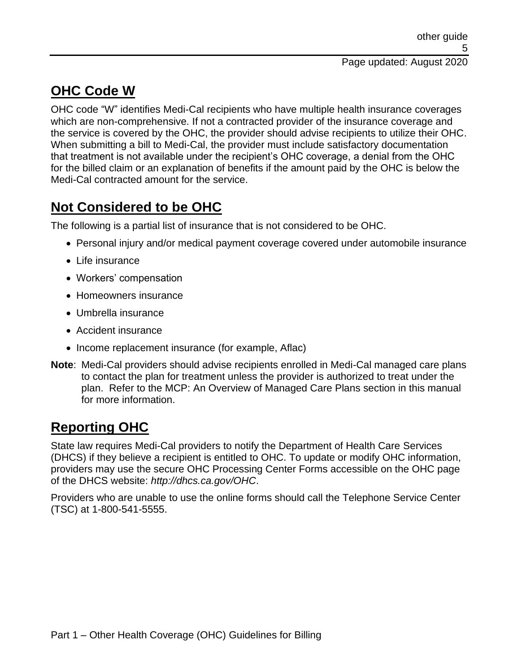## **OHC Code W**

OHC code "W" identifies Medi-Cal recipients who have multiple health insurance coverages which are non-comprehensive. If not a contracted provider of the insurance coverage and the service is covered by the OHC, the provider should advise recipients to utilize their OHC. When submitting a bill to Medi-Cal, the provider must include satisfactory documentation that treatment is not available under the recipient's OHC coverage, a denial from the OHC for the billed claim or an explanation of benefits if the amount paid by the OHC is below the Medi-Cal contracted amount for the service.

## **Not Considered to be OHC**

The following is a partial list of insurance that is not considered to be OHC.

- Personal injury and/or medical payment coverage covered under automobile insurance
- Life insurance
- Workers' compensation
- Homeowners insurance
- Umbrella insurance
- Accident insurance
- Income replacement insurance (for example, Aflac)
- **Note**: Medi-Cal providers should advise recipients enrolled in Medi-Cal managed care plans to contact the plan for treatment unless the provider is authorized to treat under the plan. Refer to the MCP: An Overview of Managed Care Plans section in this manual for more information.

## **Reporting OHC**

State law requires Medi-Cal providers to notify the Department of Health Care Services (DHCS) if they believe a recipient is entitled to OHC. To update or modify OHC information, providers may use the secure OHC Processing Center Forms accessible on the OHC page of the DHCS website: *http://dhcs.ca.gov/OHC*.

Providers who are unable to use the online forms should call the Telephone Service Center (TSC) at 1-800-541-5555.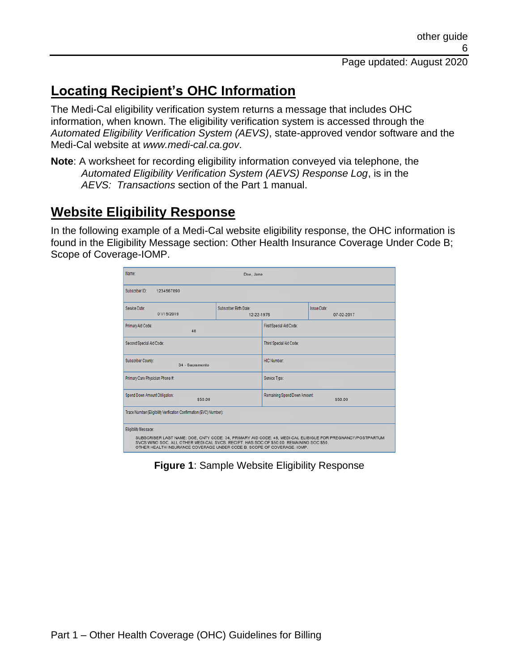## **Locating Recipient's OHC Information**

The Medi-Cal eligibility verification system returns a message that includes OHC information, when known. The eligibility verification system is accessed through the *Automated Eligibility Verification System (AEVS)*, state-approved vendor software and the Medi-Cal website at *www.medi-cal.ca.gov*.

**Note**: A worksheet for recording eligibility information conveyed via telephone, the *Automated Eligibility Verification System (AEVS) Response Log*, is in the *AEVS: Transactions* section of the Part 1 manual.

### **Website Eligibility Response**

In the following example of a Medi-Cal website eligibility response, the OHC information is found in the Eligibility Message section: Other Health Insurance Coverage Under Code B; Scope of Coverage-IOMP.

| Name:                                                                                                                                                                                                                                                                                                   | Doe, Jane                            |                                        |                                  |  |  |
|---------------------------------------------------------------------------------------------------------------------------------------------------------------------------------------------------------------------------------------------------------------------------------------------------------|--------------------------------------|----------------------------------------|----------------------------------|--|--|
| Subscriber ID:<br>1234567890                                                                                                                                                                                                                                                                            |                                      |                                        |                                  |  |  |
| Service Date:<br>01/15/2019                                                                                                                                                                                                                                                                             | Subscriber Birth Date:<br>12-22-1976 |                                        | <b>Issue Date:</b><br>07-02-2017 |  |  |
| Primary Aid Code:<br>48                                                                                                                                                                                                                                                                                 |                                      | First Special Aid Code:                |                                  |  |  |
| Second Special Aid Code:                                                                                                                                                                                                                                                                                |                                      | Third Special Aid Code:                |                                  |  |  |
| <b>Subscriber County:</b><br>34 - Sacramento                                                                                                                                                                                                                                                            |                                      | <b>HIC Number:</b>                     |                                  |  |  |
| Primary Care Physician Phone #:                                                                                                                                                                                                                                                                         |                                      | Service Type:                          |                                  |  |  |
| Spend Down Amount Obligation:<br>\$50.00                                                                                                                                                                                                                                                                |                                      | Remaining Spend Down Amount<br>\$50.00 |                                  |  |  |
| Trace Number (Eligibility Verification Confirmation (EVC) Number):                                                                                                                                                                                                                                      |                                      |                                        |                                  |  |  |
| Eligibility Message:<br>SUBSCRIBER LAST NAME: DOE, CNTY CODE: 34, PRIMARY AID CODE: 48, MEDI-CAL ELIBIGLE FOR PREGNANCY/POSTPARTUM<br>SVCS W/NO SOC. ALL OTHER MEDI-CAL SVCS, RECIPT. HAS SOC OF \$50.00. REMAINING SOC \$50.<br>OTHER HEALTH INSURANCE COVERAGE UNDER CODE B. SCOPE OF COVERAGE: IOMP. |                                      |                                        |                                  |  |  |

**Figure 1**: Sample Website Eligibility Response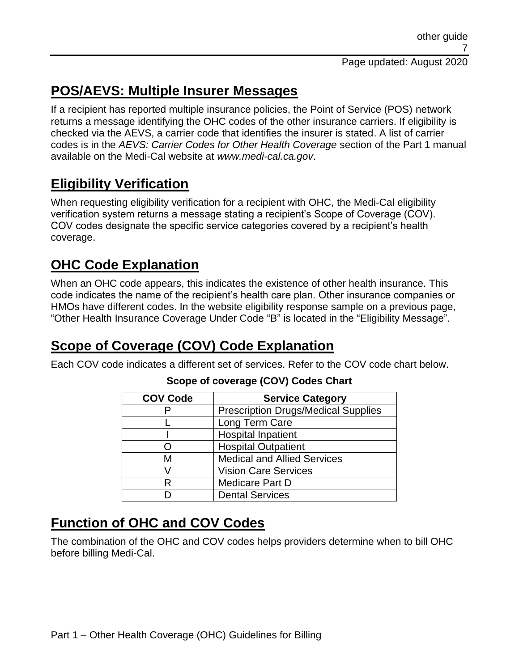## **POS/AEVS: Multiple Insurer Messages**

If a recipient has reported multiple insurance policies, the Point of Service (POS) network returns a message identifying the OHC codes of the other insurance carriers. If eligibility is checked via the AEVS, a carrier code that identifies the insurer is stated. A list of carrier codes is in the *AEVS: Carrier Codes for Other Health Coverage* section of the Part 1 manual available on the Medi-Cal website at *www.medi-cal.ca.gov*.

### **Eligibility Verification**

When requesting eligibility verification for a recipient with OHC, the Medi-Cal eligibility verification system returns a message stating a recipient's Scope of Coverage (COV). COV codes designate the specific service categories covered by a recipient's health coverage.

### **OHC Code Explanation**

When an OHC code appears, this indicates the existence of other health insurance. This code indicates the name of the recipient's health care plan. Other insurance companies or HMOs have different codes. In the website eligibility response sample on a previous page, "Other Health Insurance Coverage Under Code "B" is located in the "Eligibility Message".

## **Scope of Coverage (COV) Code Explanation**

Each COV code indicates a different set of services. Refer to the COV code chart below.

| <b>COV Code</b> | <b>Service Category</b>                    |
|-----------------|--------------------------------------------|
|                 | <b>Prescription Drugs/Medical Supplies</b> |
|                 | Long Term Care                             |
|                 | <b>Hospital Inpatient</b>                  |
|                 | <b>Hospital Outpatient</b>                 |
| м               | <b>Medical and Allied Services</b>         |
|                 | <b>Vision Care Services</b>                |
| R               | <b>Medicare Part D</b>                     |
|                 | <b>Dental Services</b>                     |

#### **Scope of coverage (COV) Codes Chart**

## **Function of OHC and COV Codes**

The combination of the OHC and COV codes helps providers determine when to bill OHC before billing Medi-Cal.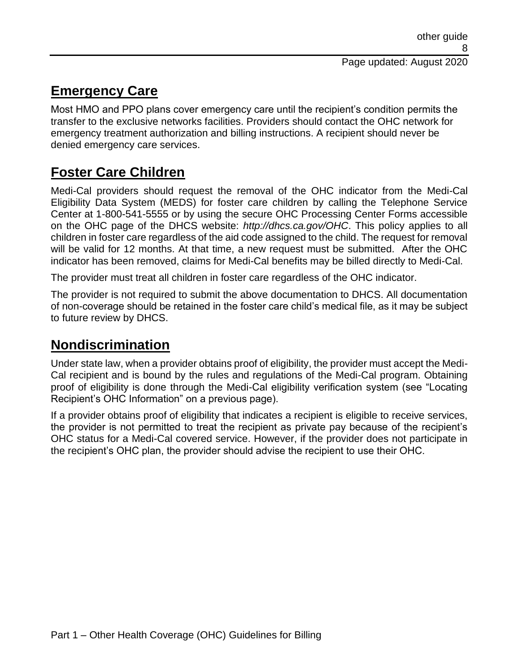#### **Emergency Care**

Most HMO and PPO plans cover emergency care until the recipient's condition permits the transfer to the exclusive networks facilities. Providers should contact the OHC network for emergency treatment authorization and billing instructions. A recipient should never be denied emergency care services.

## **Foster Care Children**

Medi-Cal providers should request the removal of the OHC indicator from the Medi-Cal Eligibility Data System (MEDS) for foster care children by calling the Telephone Service Center at 1-800-541-5555 or by using the secure OHC Processing Center Forms accessible on the OHC page of the DHCS website: *http://dhcs.ca.gov/OHC*. This policy applies to all children in foster care regardless of the aid code assigned to the child. The request for removal will be valid for 12 months. At that time, a new request must be submitted. After the OHC indicator has been removed, claims for Medi-Cal benefits may be billed directly to Medi-Cal.

The provider must treat all children in foster care regardless of the OHC indicator.

The provider is not required to submit the above documentation to DHCS. All documentation of non-coverage should be retained in the foster care child's medical file, as it may be subject to future review by DHCS.

#### **Nondiscrimination**

Under state law, when a provider obtains proof of eligibility, the provider must accept the Medi-Cal recipient and is bound by the rules and regulations of the Medi-Cal program. Obtaining proof of eligibility is done through the Medi-Cal eligibility verification system (see "Locating Recipient's OHC Information" on a previous page).

If a provider obtains proof of eligibility that indicates a recipient is eligible to receive services, the provider is not permitted to treat the recipient as private pay because of the recipient's OHC status for a Medi-Cal covered service. However, if the provider does not participate in the recipient's OHC plan, the provider should advise the recipient to use their OHC.